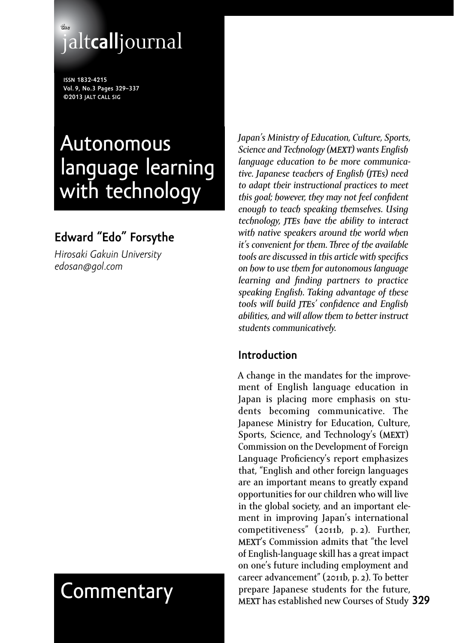# **the** jalt**call**journal

**issn 1832-4215 Vol. 9, No.3 Pages 329–337 ©2013 jalt call sig**

# Autonomous language learning with technology

# **Edward "Edo" Forsythe**

*Hirosaki Gakuin University edosan@gol.com*

*Japan's Ministry of Education, Culture, Sports, Science and Technology (MEXT) wants English language education to be more communicative. Japanese teachers of English (JTEs) need to adapt their instructional practices to meet this goal; however, they may not feel confident enough to teach speaking themselves. Using technology, JTEs have the ability to interact with native speakers around the world when it's convenient for them. Three of the available tools are discussed in this article with specifics on how to use them for autonomous language learning and finding partners to practice speaking English. Taking advantage of these tools will build JTEs' confidence and English abilities, and will allow them to better instruct students communicatively.*

#### **Introduction**

**MEXT** has established new Courses of Study 329 A change in the mandates for the improvement of English language education in Japan is placing more emphasis on students becoming communicative. The Japanese Ministry for Education, Culture, Sports, Science, and Technology's (MEXT) Commission on the Development of Foreign Language Proficiency's report emphasizes that, "English and other foreign languages are an important means to greatly expand opportunities for our children who will live in the global society, and an important element in improving Japan's international competitiveness" (2011b, p. 2). Further, MEXT's Commission admits that "the level of English-language skill has a great impact on one's future including employment and career advancement" (2011b, p.2). To better Commentary prepare Japanese students for the future,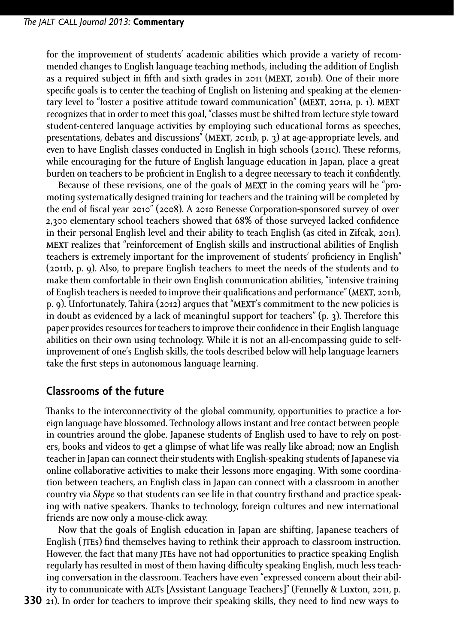for the improvement of students' academic abilities which provide a variety of recommended changes to English language teaching methods, including the addition of English as a required subject in fifth and sixth grades in 2011 (MEXT, 2011b). One of their more specific goals is to center the teaching of English on listening and speaking at the elementary level to "foster a positive attitude toward communication" (MEXT, 2011a, p. 1). MEXT recognizes that in order to meet this goal, "classes must be shifted from lecture style toward student-centered language activities by employing such educational forms as speeches, presentations, debates and discussions" (MEXT, 2011b, p. 3) at age-appropriate levels, and even to have English classes conducted in English in high schools (2011c). These reforms, while encouraging for the future of English language education in Japan, place a great burden on teachers to be proficient in English to a degree necessary to teach it confidently.

Because of these revisions, one of the goals of MEXT in the coming years will be "promoting systematically designed training for teachers and the training will be completed by the end of fiscal year 2010" (2008). A 2010 Benesse Corporation-sponsored survey of over 2,300 elementary school teachers showed that 68% of those surveyed lacked confidence in their personal English level and their ability to teach English (as cited in Zifcak, 2011). MEXT realizes that "reinforcement of English skills and instructional abilities of English teachers is extremely important for the improvement of students' proficiency in English" (2011b, p. 9). Also, to prepare English teachers to meet the needs of the students and to make them comfortable in their own English communication abilities, "intensive training of English teachers is needed to improve their qualifications and performance" (MEXT, 2011b, p. 9). Unfortunately, Tahira (2012) argues that "MEXT's commitment to the new policies is in doubt as evidenced by a lack of meaningful support for teachers" (p. 3). Therefore this paper provides resources for teachers to improve their confidence in their English language abilities on their own using technology. While it is not an all-encompassing guide to selfimprovement of one's English skills, the tools described below will help language learners take the first steps in autonomous language learning.

#### **Classrooms of the future**

Thanks to the interconnectivity of the global community, opportunities to practice a foreign language have blossomed. Technology allows instant and free contact between people in countries around the globe. Japanese students of English used to have to rely on posters, books and videos to get a glimpse of what life was really like abroad; now an English teacher in Japan can connect their students with English-speaking students of Japanese via online collaborative activities to make their lessons more engaging. With some coordination between teachers, an English class in Japan can connect with a classroom in another country via *Skype* so that students can see life in that country firsthand and practice speaking with native speakers. Thanks to technology, foreign cultures and new international friends are now only a mouse-click away.

Now that the goals of English education in Japan are shifting, Japanese teachers of English (JTEs) find themselves having to rethink their approach to classroom instruction. However, the fact that many **JTE**s have not had opportunities to practice speaking English regularly has resulted in most of them having difficulty speaking English, much less teaching conversation in the classroom. Teachers have even "expressed concern about their ability to communicate with ALTs [Assistant Language Teachers]" (Fennelly & Luxton, 2011, p.

**330** 21). In order for teachers to improve their speaking skills, they need to find new ways to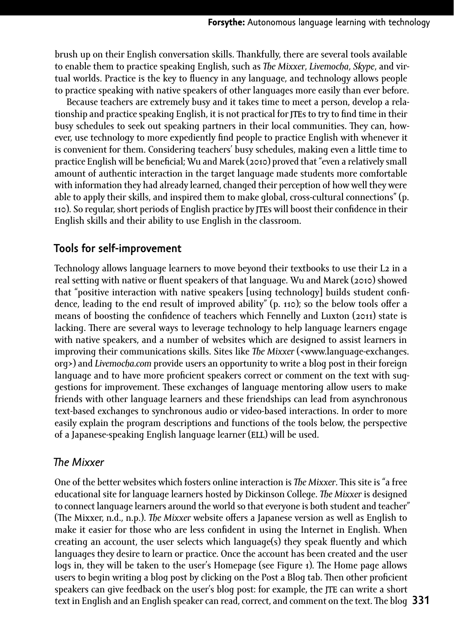brush up on their English conversation skills. Thankfully, there are several tools available to enable them to practice speaking English, such as *The Mixxer*, *Livemocha*, *Skype*, and virtual worlds. Practice is the key to fluency in any language, and technology allows people to practice speaking with native speakers of other languages more easily than ever before.

Because teachers are extremely busy and it takes time to meet a person, develop a relationship and practice speaking English, it is not practical for **JTE**s to try to find time in their busy schedules to seek out speaking partners in their local communities. They can, however, use technology to more expediently find people to practice English with whenever it is convenient for them. Considering teachers' busy schedules, making even a little time to practice English will be beneficial; Wu and Marek (2010) proved that "even a relatively small amount of authentic interaction in the target language made students more comfortable with information they had already learned, changed their perception of how well they were able to apply their skills, and inspired them to make global, cross-cultural connections" (p. 110). So regular, short periods of English practice by JTEs will boost their confidence in their English skills and their ability to use English in the classroom.

#### **Tools for self-improvement**

Technology allows language learners to move beyond their textbooks to use their L2 in a real setting with native or fluent speakers of that language. Wu and Marek (2010) showed that "positive interaction with native speakers [using technology] builds student confidence, leading to the end result of improved ability" (p. 110); so the below tools offer a means of boosting the confidence of teachers which Fennelly and Luxton (2011) state is lacking. There are several ways to leverage technology to help language learners engage with native speakers, and a number of websites which are designed to assist learners in improving their communications skills. Sites like *The Mixxer* (<www.language-exchanges. org>) and *Livemocha.com* provide users an opportunity to write a blog post in their foreign language and to have more proficient speakers correct or comment on the text with suggestions for improvement. These exchanges of language mentoring allow users to make friends with other language learners and these friendships can lead from asynchronous text-based exchanges to synchronous audio or video-based interactions. In order to more easily explain the program descriptions and functions of the tools below, the perspective of a Japanese-speaking English language learner (ELL) will be used.

#### *The Mixxer*

**331** text in English and an English speaker can read, correct, and comment on the text. The blog One of the better websites which fosters online interaction is *The Mixxer*. This site is "a free educational site for language learners hosted by Dickinson College. *The Mixxer* is designed to connect language learners around the world so that everyone is both student and teacher" (The Mixxer, n.d., n.p.). *The Mixxer* website offers a Japanese version as well as English to make it easier for those who are less confident in using the Internet in English. When creating an account, the user selects which language(s) they speak fluently and which languages they desire to learn or practice. Once the account has been created and the user logs in, they will be taken to the user's Homepage (see Figure 1). The Home page allows users to begin writing a blog post by clicking on the Post a Blog tab. Then other proficient speakers can give feedback on the user's blog post: for example, the **JTE** can write a short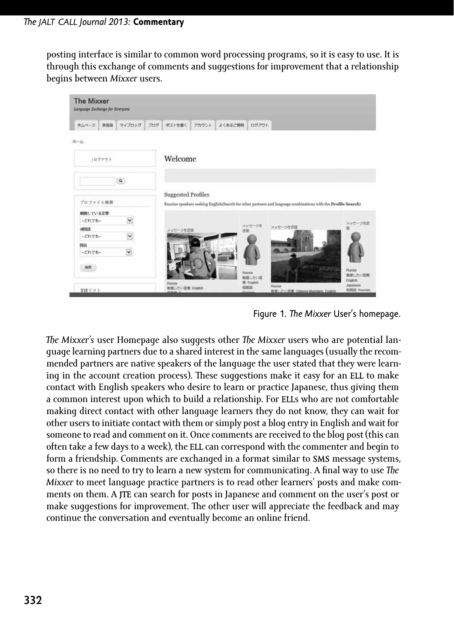posting interface is similar to common word processing programs, so it is easy to use. It is through this exchange of comments and suggestions for improvement that a relationship begins between *Mixxer* users.



Figure 1. *The Mixxer* User's homepage.

*The Mixxer's* user Homepage also suggests other *The Mixxer* users who are potential language learning partners due to a shared interest in the same languages (usually the recommended partners are native speakers of the language the user stated that they were learning in the account creation process). These suggestions make it easy for an ELL to make contact with English speakers who desire to learn or practice Japanese, thus giving them a common interest upon which to build a relationship. For ELLs who are not comfortable making direct contact with other language learners they do not know, they can wait for other users to initiate contact with them or simply post a blog entry in English and wait for someone to read and comment on it. Once comments are received to the blog post (this can often take a few days to a week), the ELL can correspond with the commenter and begin to form a friendship. Comments are exchanged in a format similar to SMS message systems, so there is no need to try to learn a new system for communicating. A final way to use *The Mixxer* to meet language practice partners is to read other learners' posts and make comments on them. A JTE can search for posts in Japanese and comment on the user's post or make suggestions for improvement. The other user will appreciate the feedback and may continue the conversation and eventually become an online friend.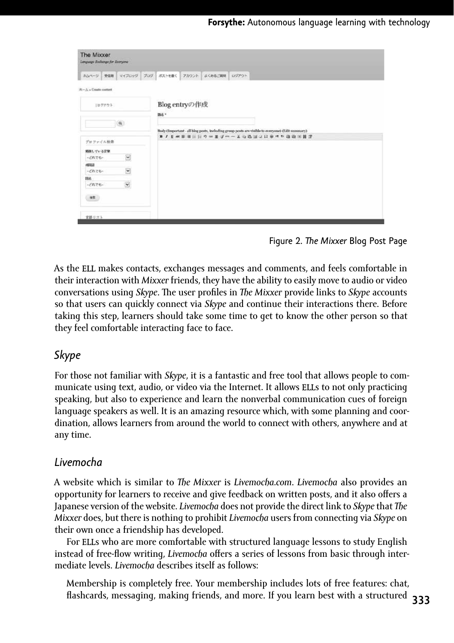| The Mixxer<br>Language Exchange for Everyone |                                                                                                                               |
|----------------------------------------------|-------------------------------------------------------------------------------------------------------------------------------|
| ホムページ 受信箱 マイブロッグ                             | フログ<br>ポストを置く  <br>アカウント よくあるご興味 ログアウト                                                                                        |
| $Re - A$ > Create content                    |                                                                                                                               |
| 1ログアウト                                       | Blog entryの作成<br>ms -                                                                                                         |
| $\alpha$                                     |                                                                                                                               |
|                                              | Body Gmportant - all blog posts, including group posts are visible to everyone) (Edit summary)<br>■ノリギま者に日ウキミゴーーズな高国之日を作り通信国営 |
| プロファイル検索                                     |                                                                                                                               |
| 婚姻している言葉                                     |                                                                                                                               |
| $\check{\phantom{a}}$<br>-Cheb-              |                                                                                                                               |
| 球唱                                           |                                                                                                                               |
| $\check{}$<br>$-$ chre-                      |                                                                                                                               |
| 降名                                           |                                                                                                                               |
| $\overline{\mathsf{v}}$<br>ーどれでもー            |                                                                                                                               |
| ##                                           |                                                                                                                               |
| 言語リズト                                        |                                                                                                                               |

Figure 2. *The Mixxer* Blog Post Page

As the ELL makes contacts, exchanges messages and comments, and feels comfortable in their interaction with *Mixxer* friends, they have the ability to easily move to audio or video conversations using *Skype*. The user profiles in *The Mixxer* provide links to *Skype* accounts so that users can quickly connect via *Skype* and continue their interactions there. Before taking this step, learners should take some time to get to know the other person so that they feel comfortable interacting face to face.

#### *Skype*

For those not familiar with *Skype*, it is a fantastic and free tool that allows people to communicate using text, audio, or video via the Internet. It allows ELLs to not only practicing speaking, but also to experience and learn the nonverbal communication cues of foreign language speakers as well. It is an amazing resource which, with some planning and coordination, allows learners from around the world to connect with others, anywhere and at any time.

#### *Livemocha*

A website which is similar to *The Mixxer* is *Livemocha.com*. *Livemocha* also provides an opportunity for learners to receive and give feedback on written posts, and it also offers a Japanese version of the website. *Livemocha* does not provide the direct link to *Skype* that *The Mixxer* does, but there is nothing to prohibit *Livemocha* users from connecting via *Skype* on their own once a friendship has developed.

For ELLs who are more comfortable with structured language lessons to study English instead of free-flow writing, *Livemocha* offers a series of lessons from basic through intermediate levels. *Livemocha* describes itself as follows:

**333** flashcards, messaging, making friends, and more. If you learn best with a structured Membership is completely free. Your membership includes lots of free features: chat,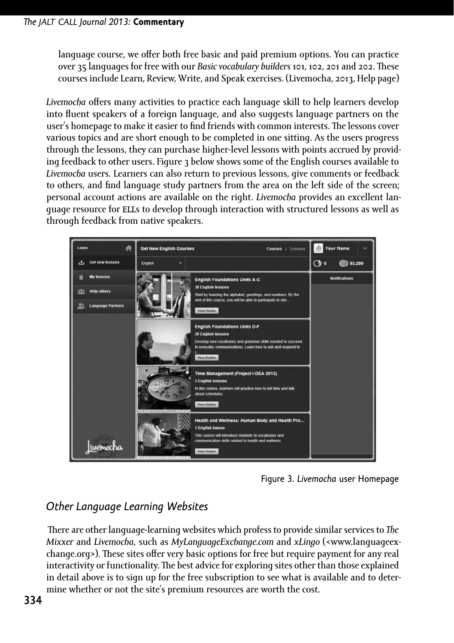language course, we offer both free basic and paid premium options. You can practice over 35 languages for free with our *Basic vocabulary builders* 101, 102, 201 and 202. These courses include Learn, Review, Write, and Speak exercises. (Livemocha, 2013, Help page)

*Livemocha* offers many activities to practice each language skill to help learners develop into fluent speakers of a foreign language, and also suggests language partners on the user's homepage to make it easier to find friends with common interests. The lessons cover various topics and are short enough to be completed in one sitting. As the users progress through the lessons, they can purchase higher-level lessons with points accrued by providing feedback to other users. Figure 3 below shows some of the English courses available to *Livemocha* users. Learners can also return to previous lessons, give comments or feedback to others, and find language study partners from the area on the left side of the screen; personal account actions are available on the right. *Livemocha* provides an excellent language resource for ELLs to develop through interaction with structured lessons as well as through feedback from native speakers.



Figure 3. *Livemocha* user Homepage

# *Other Language Learning Websites*

 There are other language-learning websites which profess to provide similar services to *The Mixxer* and *Livemocha*, such as *MyLanguageExchange.com* and *xLingo* (<www.languageexchange.org>). These sites offer very basic options for free but require payment for any real interactivity or functionality. The best advice for exploring sites other than those explained in detail above is to sign up for the free subscription to see what is available and to determine whether or not the site's premium resources are worth the cost.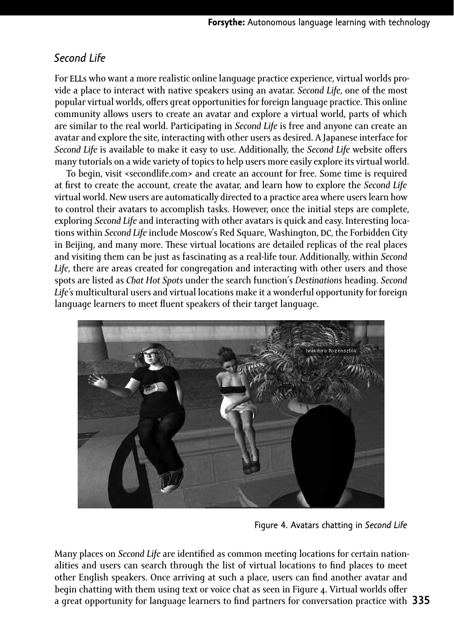### *Second Life*

For ELLs who want a more realistic online language practice experience, virtual worlds provide a place to interact with native speakers using an avatar. *Second Life*, one of the most popular virtual worlds, offers great opportunities for foreign language practice. This online community allows users to create an avatar and explore a virtual world, parts of which are similar to the real world. Participating in *Second Life* is free and anyone can create an avatar and explore the site, interacting with other users as desired. A Japanese interface for *Second Life* is available to make it easy to use. Additionally, the *Second Life* website offers many tutorials on a wide variety of topics to help users more easily explore its virtual world.

To begin, visit <secondlife.com> and create an account for free. Some time is required at first to create the account, create the avatar, and learn how to explore the *Second Life* virtual world. New users are automatically directed to a practice area where users learn how to control their avatars to accomplish tasks. However, once the initial steps are complete, exploring *Second Life* and interacting with other avatars is quick and easy. Interesting locations within *Second Life* include Moscow's Red Square, Washington, DC, the Forbidden City in Beijing, and many more. These virtual locations are detailed replicas of the real places and visiting them can be just as fascinating as a real-life tour. Additionally, within *Second Life*, there are areas created for congregation and interacting with other users and those spots are listed as *Chat Hot Spots* under the search function's *Destinations* heading. *Second Life's* multicultural users and virtual locations make it a wonderful opportunity for foreign language learners to meet fluent speakers of their target language.



Figure 4. Avatars chatting in *Second Life*

**335** a great opportunity for language learners to find partners for conversation practice with Many places on *Second Life* are identified as common meeting locations for certain nationalities and users can search through the list of virtual locations to find places to meet other English speakers. Once arriving at such a place, users can find another avatar and begin chatting with them using text or voice chat as seen in Figure 4. Virtual worlds offer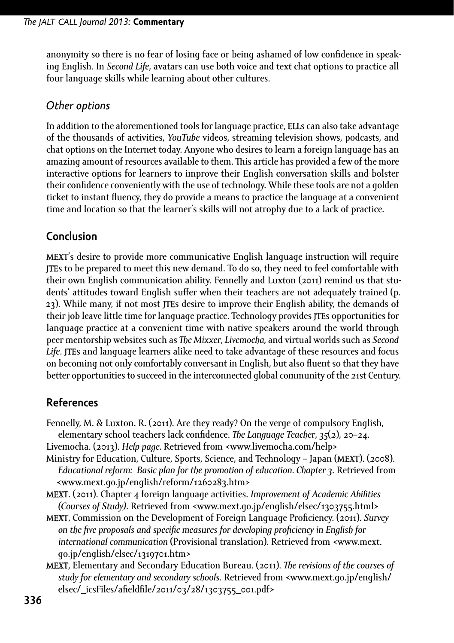anonymity so there is no fear of losing face or being ashamed of low confidence in speaking English. In *Second Life*, avatars can use both voice and text chat options to practice all four language skills while learning about other cultures.

#### *Other options*

In addition to the aforementioned tools for language practice, ELLs can also take advantage of the thousands of activities, *YouTube* videos, streaming television shows, podcasts, and chat options on the Internet today. Anyone who desires to learn a foreign language has an amazing amount of resources available to them. This article has provided a few of the more interactive options for learners to improve their English conversation skills and bolster their confidence conveniently with the use of technology. While these tools are not a golden ticket to instant fluency, they do provide a means to practice the language at a convenient time and location so that the learner's skills will not atrophy due to a lack of practice.

## **Conclusion**

MEXT's desire to provide more communicative English language instruction will require JTEs to be prepared to meet this new demand. To do so, they need to feel comfortable with their own English communication ability. Fennelly and Luxton (2011) remind us that students' attitudes toward English suffer when their teachers are not adequately trained (p. 23). While many, if not most JTEs desire to improve their English ability, the demands of their job leave little time for language practice. Technology provides **ITE**s opportunities for language practice at a convenient time with native speakers around the world through peer mentorship websites such as *The Mixxer*, *Livemocha,* and virtual worlds such as *Second Life*. JTEs and language learners alike need to take advantage of these resources and focus on becoming not only comfortably conversant in English, but also fluent so that they have better opportunities to succeed in the interconnected global community of the 21st Century.

# **References**

- Fennelly, M. & Luxton. R. (2011). Are they ready? On the verge of compulsory English, elementary school teachers lack confidence. *The Language Teacher*, *35*(2), 20–24.
- Livemocha. (2013). *Help page.* Retrieved from <www.livemocha.com/help>
- Ministry for Education, Culture, Sports, Science, and Technology Japan (MEXT). (2008). *Educational reform: Basic plan for the promotion of education. Chapter 3*. Retrieved from <www.mext.go.jp/english/reform/1260283.htm>
- MEXT. (2011). Chapter 4 foreign language activities. *Improvement of Academic Abilities (Courses of Study)*. Retrieved from <www.mext.go.jp/english/elsec/1303755.html>
- MEXT, Commission on the Development of Foreign Language Proficiency. (2011). *Survey on the five proposals and specific measures for developing proficiency in English for international communication* (Provisional translation). Retrieved from <www.mext. go.jp/english/elsec/1319701.htm>
- MEXT, Elementary and Secondary Education Bureau. (2011). *The revisions of the courses of study for elementary and secondary schools*. Retrieved from <www.mext.go.jp/english/ elsec/\_icsFiles/afieldfile/2011/03/28/1303755\_001.pdf>